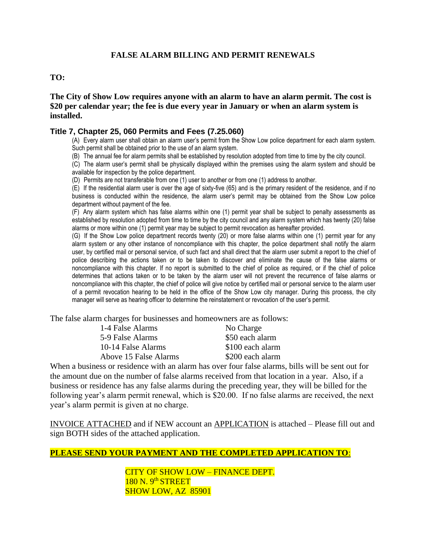# **FALSE ALARM BILLING AND PERMIT RENEWALS**

#### **TO:**

**The City of Show Low requires anyone with an alarm to have an alarm permit. The cost is \$20 per calendar year; the fee is due every year in January or when an alarm system is installed.** 

#### **Title 7, Chapter 25, 060 Permits and Fees (7.25.060)**

(A) Every alarm user shall obtain an alarm user's permit from the Show Low police department for each alarm system. Such permit shall be obtained prior to the use of an alarm system.

(B) The annual fee for alarm permits shall be established by resolution adopted from time to time by the city council.

(C) The alarm user's permit shall be physically displayed within the premises using the alarm system and should be available for inspection by the police department.

(D) Permits are not transferable from one (1) user to another or from one (1) address to another.

 $(E)$  If the residential alarm user is over the age of sixty-five (65) and is the primary resident of the residence, and if no business is conducted within the residence, the alarm user's permit may be obtained from the Show Low police department without payment of the fee.

(F) Any alarm system which has false alarms within one (1) permit year shall be subject to penalty assessments as established by resolution adopted from time to time by the city council and any alarm system which has twenty (20) false alarms or more within one (1) permit year may be subject to permit revocation as hereafter provided.

(G) If the Show Low police department records twenty (20) or more false alarms within one (1) permit year for any alarm system or any other instance of noncompliance with this chapter, the police department shall notify the alarm user, by certified mail or personal service, of such fact and shall direct that the alarm user submit a report to the chief of police describing the actions taken or to be taken to discover and eliminate the cause of the false alarms or noncompliance with this chapter. If no report is submitted to the chief of police as required, or if the chief of police determines that actions taken or to be taken by the alarm user will not prevent the recurrence of false alarms or noncompliance with this chapter, the chief of police will give notice by certified mail or personal service to the alarm user of a permit revocation hearing to be held in the office of the Show Low city manager. During this process, the city manager will serve as hearing officer to determine the reinstatement or revocation of the user's permit.

The false alarm charges for businesses and homeowners are as follows:

| 1-4 False Alarms      | No Charge        |
|-----------------------|------------------|
| 5-9 False Alarms      | \$50 each alarm  |
| 10-14 False Alarms    | \$100 each alarm |
| Above 15 False Alarms | \$200 each alarm |
|                       |                  |

When a business or residence with an alarm has over four false alarms, bills will be sent out for the amount due on the number of false alarms received from that location in a year. Also, if a business or residence has any false alarms during the preceding year, they will be billed for the following year's alarm permit renewal, which is \$20.00. If no false alarms are received, the next year's alarm permit is given at no charge.

INVOICE ATTACHED and if NEW account an APPLICATION is attached – Please fill out and sign BOTH sides of the attached application.

# **PLEASE SEND YOUR PAYMENT AND THE COMPLETED APPLICATION TO**:

CITY OF SHOW LOW – FINANCE DEPT.  $180$  N.  $9<sup>th</sup>$  STREET SHOW LOW, AZ 85901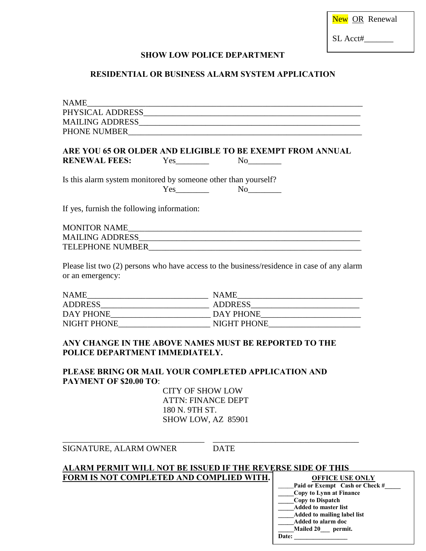SL Acct#\_\_\_\_\_\_\_

## **SHOW LOW POLICE DEPARTMENT**

# **RESIDENTIAL OR BUSINESS ALARM SYSTEM APPLICATION**

|                                                             | ARE YOU 65 OR OLDER AND ELIGIBLE TO BE EXEMPT FROM ANNUAL    |  |
|-------------------------------------------------------------|--------------------------------------------------------------|--|
| RENEWAL FEES: Yes No No                                     |                                                              |  |
| Is this alarm system monitored by some other than yourself? | $Yes$ No $No$                                                |  |
| If yes, furnish the following information:                  |                                                              |  |
|                                                             |                                                              |  |
|                                                             |                                                              |  |
| TELEPHONE NUMBER                                            | <u> 2000 - Jan Amerikaanse konstantinoplering (h. 1878).</u> |  |
|                                                             |                                                              |  |

Please list two (2) persons who have access to the business/residence in case of any alarm or an emergency:

| <b>NAME</b>        | <b>NAME</b>    |
|--------------------|----------------|
| <b>ADDRESS</b>     | <b>ADDRESS</b> |
| DAY PHONE          | DAY PHONE      |
| <b>NIGHT PHONE</b> | NIGHT PHONE    |

# **ANY CHANGE IN THE ABOVE NAMES MUST BE REPORTED TO THE POLICE DEPARTMENT IMMEDIATELY.**

#### **PLEASE BRING OR MAIL YOUR COMPLETED APPLICATION AND PAYMENT OF \$20.00 TO**:

 CITY OF SHOW LOW ATTN: FINANCE DEPT 180 N. 9TH ST. SHOW LOW, AZ 85901

#### SIGNATURE, ALARM OWNER DATE

#### **ALARM PERMIT WILL NOT BE ISSUED IF THE REVERSE SIDE OF THIS FORM IS NOT COMPLETED AND COMPLIED WITH.**

\_\_\_\_\_\_\_\_\_\_\_\_\_\_\_\_\_\_\_\_\_\_\_\_\_\_\_\_\_\_\_\_\_\_ \_\_\_\_\_\_\_\_\_\_\_\_\_\_\_\_\_\_\_\_\_\_\_\_\_\_\_\_\_\_\_\_\_\_\_

**OFFICE USE ONLY** Paid or Exempt Cash or Check #\_ **\_\_\_\_\_Copy to Lynn at Finance \_\_\_\_\_Copy to Dispatch \_\_\_\_\_Added to master list \_\_\_\_\_Added to mailing label list \_\_\_\_\_Added to alarm doc \_\_\_\_\_Mailed 20\_\_\_ permit.** Date: